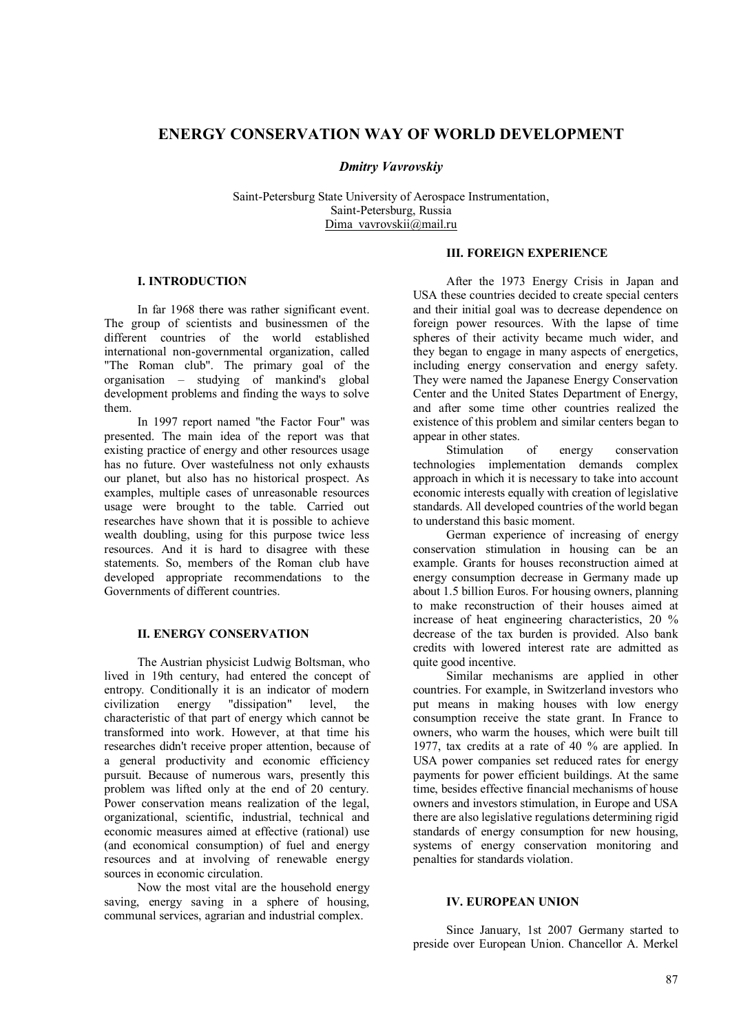# **ENERGY CONSERVATION WAY OF WORLD DEVELOPMENT**

*Dmitry Vavrovskiy*

Saint-Petersburg State University of Aerospace Instrumentation, Saint-Petersburg, Russia Dima\_vavrovskii@mail.ru

## **І. INTRODUCTION**

In far 1968 there was rather significant event. The group of scientists and businessmen of the different countries of the world established international non-governmental organization, called "The Roman club". The primary goal of the organisation – studying of mankind's global development problems and finding the ways to solve them.

In 1997 report named "the Factor Four" was presented. The main idea of the report was that existing practice of energy and other resources usage has no future. Over wastefulness not only exhausts our planet, but also has no historical prospect. As examples, multiple cases of unreasonable resources usage were brought to the table. Carried out researches have shown that it is possible to achieve wealth doubling, using for this purpose twice less resources. And it is hard to disagree with these statements. So, members of the Roman club have developed appropriate recommendations to the Governments of different countries.

#### **II. ENERGY CONSERVATION**

The Austrian physicist Ludwig Boltsman, who lived in 19th century, had entered the concept of entropy. Conditionally it is an indicator of modern<br>civilization energy "dissipation" level, the civilization energy "dissipation" level, the characteristic of that part of energy which cannot be transformed into work. However, at that time his researches didn't receive proper attention, because of a general productivity and economic efficiency pursuit. Because of numerous wars, presently this problem was lifted only at the end of 20 century. Power conservation means realization of the legal, organizational, scientific, industrial, technical and economic measures aimed at effective (rational) use (and economical consumption) of fuel and energy resources and at involving of renewable energy sources in economic circulation.

Now the most vital are the household energy saving, energy saving in a sphere of housing, communal services, agrarian and industrial complex.

## **III. FOREIGN EXPERIENCE**

After the 1973 Energy Crisis in Japan and USA these countries decided to create special centers and their initial goal was to decrease dependence on foreign power resources. With the lapse of time spheres of their activity became much wider, and they began to engage in many aspects of energetics, including energy conservation and energy safety. They were named the Japanese Energy Conservation Center and the United States Department of Energy, and after some time other countries realized the existence of this problem and similar centers began to appear in other states.

Stimulation of energy conservation technologies implementation demands complex approach in which it is necessary to take into account economic interests equally with creation of legislative standards. All developed countries of the world began to understand this basic moment.

German experience of increasing of energy conservation stimulation in housing can be an example. Grants for houses reconstruction aimed at energy consumption decrease in Germany made up about 1.5 billion Euros. For housing owners, planning to make reconstruction of their houses aimed at increase of heat engineering characteristics, 20 % decrease of the tax burden is provided. Also bank credits with lowered interest rate are admitted as quite good incentive.

Similar mechanisms are applied in other countries. For example, in Switzerland investors who put means in making houses with low energy consumption receive the state grant. In France to owners, who warm the houses, which were built till 1977, tax credits at a rate of 40 % are applied. In USA power companies set reduced rates for energy payments for power efficient buildings. At the same time, besides effective financial mechanisms of house owners and investors stimulation, in Europe and USA there are also legislative regulations determining rigid standards of energy consumption for new housing, systems of energy conservation monitoring and penalties for standards violation.

## **IV. EUROPEAN UNION**

Since January, 1st 2007 Germany started to preside over European Union. Chancellor A. Merkel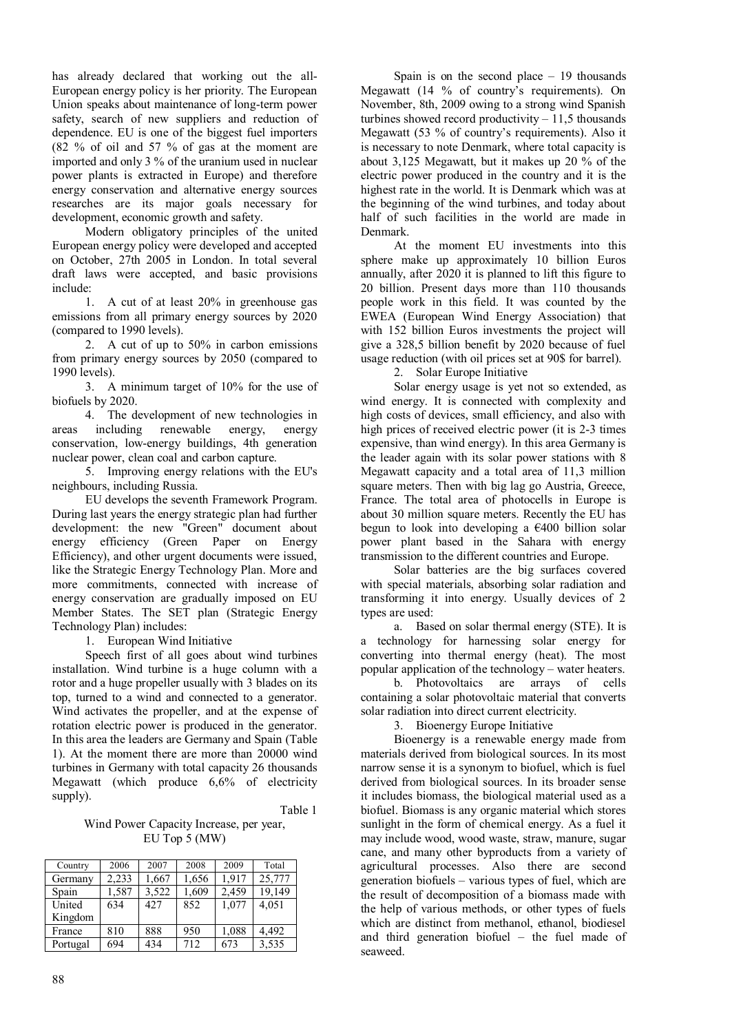has already declared that working out the all-European energy policy is her priority. The European Union speaks about maintenance of long-term power safety, search of new suppliers and reduction of dependence. EU is one of the biggest fuel importers (82 % of oil and 57 % of gas at the moment are imported and only 3 % of the uranium used in nuclear power plants is extracted in Europe) and therefore energy conservation and alternative energy sources researches are its major goals necessary for development, economic growth and safety.

Modern obligatory principles of the united European energy policy were developed and accepted on October, 27th 2005 in London. In total several draft laws were accepted, and basic provisions include:

1. A cut of at least 20% in greenhouse gas emissions from all primary energy sources by 2020 (compared to 1990 levels).

2. A cut of up to 50% in carbon emissions from primary energy sources by 2050 (compared to 1990 levels).

3. A minimum target of 10% for the use of biofuels by 2020.

4. The development of new technologies in areas including renewable energy, energy conservation, low-energy buildings, 4th generation nuclear power, clean coal and carbon capture.

5. Improving energy relations with the EU's neighbours, including Russia.

EU develops the seventh Framework Program. During last years the energy strategic plan had further development: the new "Green" document about energy efficiency (Green Paper on Energy Efficiency), and other urgent documents were issued, like the Strategic Energy Technology Plan. More and more commitments, connected with increase of energy conservation are gradually imposed on EU Member States. The SET plan (Strategic Energy Technology Plan) includes:

1. European Wind Initiative

Speech first of all goes about wind turbines installation. Wind turbine is a huge column with a rotor and a huge propeller usually with 3 blades on its top, turned to a wind and connected to a generator. Wind activates the propeller, and at the expense of rotation electric power is produced in the generator. In this area the leaders are Germany and Spain (Table 1). At the moment there are more than 20000 wind turbines in Germany with total capacity 26 thousands Megawatt (which produce 6,6% of electricity supply).

Table 1

Wind Power Capacity Increase, per year, EU Top 5 (MW)

| Country  | 2006  | 2007  | 2008  | 2009  | Total  |
|----------|-------|-------|-------|-------|--------|
| Germany  | 2.233 | 1,667 | 1,656 | 1.917 | 25,777 |
| Spain    | 1,587 | 3,522 | 1,609 | 2,459 | 19,149 |
| United   | 634   | 427   | 852   | 1,077 | 4,051  |
| Kingdom  |       |       |       |       |        |
| France   | 810   | 888   | 950   | 1,088 | 4,492  |
| Portugal | 694   | 434   | 712   | 673   | 3,535  |

Spain is on the second place  $-19$  thousands Megawatt (14 % of country's requirements). On November, 8th, 2009 owing to a strong wind Spanish turbines showed record productivity  $-11,5$  thousands Megawatt (53 % of country's requirements). Also it is necessary to note Denmark, where total capacity is about 3,125 Megawatt, but it makes up 20 % of the electric power produced in the country and it is the highest rate in the world. It is Denmark which was at the beginning of the wind turbines, and today about half of such facilities in the world are made in Denmark.

At the moment EU investments into this sphere make up approximately 10 billion Euros annually, after 2020 it is planned to lift this figure to 20 billion. Present days more than 110 thousands people work in this field. It was counted by the EWEA (European Wind Energy Association) that with 152 billion Euros investments the project will give a 328,5 billion benefit by 2020 because of fuel usage reduction (with oil prices set at 90\$ for barrel).

2. Solar Europe Initiative

Solar energy usage is yet not so extended, as wind energy. It is connected with complexity and high costs of devices, small efficiency, and also with high prices of received electric power (it is 2-3 times expensive, than wind energy). In this area Germany is the leader again with its solar power stations with 8 Megawatt capacity and a total area of 11,3 million square meters. Then with big lag go Austria, Greece, France. The total area of photocells in Europe is about 30 million square meters. Recently the EU has begun to look into developing a €400 billion solar power plant based in the Sahara with energy transmission to the different countries and Europe.

Solar batteries are the big surfaces covered with special materials, absorbing solar radiation and transforming it into energy. Usually devices of 2 types are used:

a. Based on solar thermal energy (STE). It is a technology for harnessing solar energy for converting into thermal energy (heat). The most popular application of the technology – water heaters.

b. Photovoltaics are arrays of cells containing a solar photovoltaic material that converts solar radiation into direct current electricity.

3. Bioenergy Europe Initiative

Bioenergy is a renewable energy made from materials derived from biological sources. In its most narrow sense it is a synonym to biofuel, which is fuel derived from biological sources. In its broader sense it includes biomass, the biological material used as a biofuel. Biomass is any organic material which stores sunlight in the form of chemical energy. As a fuel it may include wood, wood waste, straw, manure, sugar cane, and many other byproducts from a variety of agricultural processes. Also there are second generation biofuels – various types of fuel, which are the result of decomposition of a biomass made with the help of various methods, or other types of fuels which are distinct from methanol, ethanol, biodiesel and third generation biofuel – the fuel made of seaweed.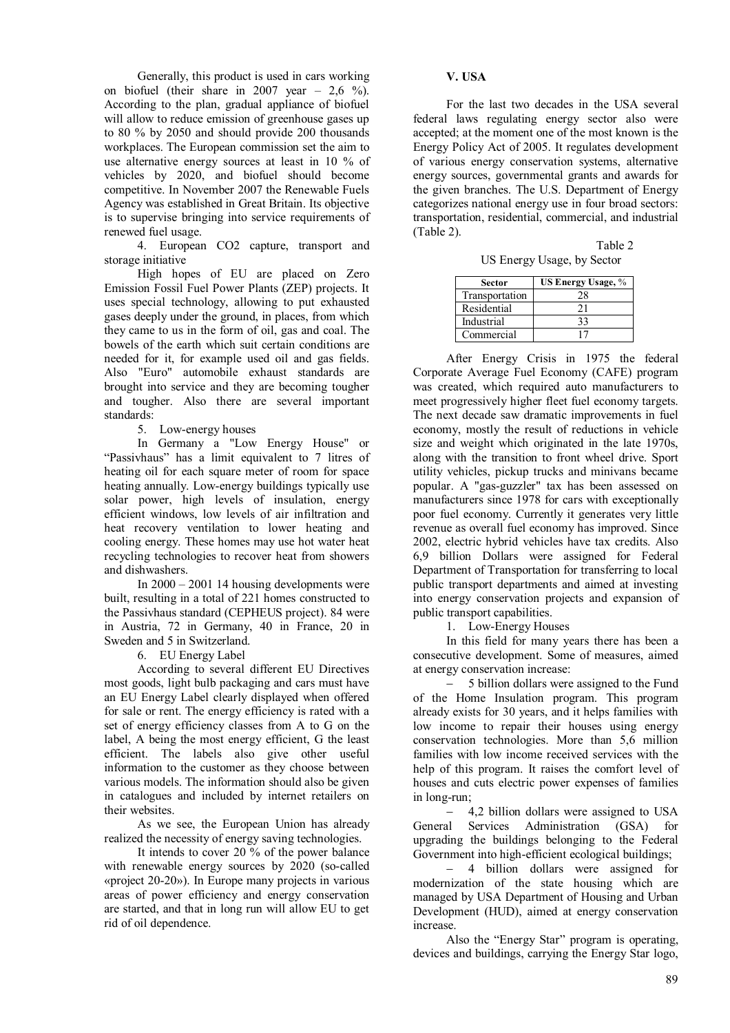Generally, this product is used in cars working on biofuel (their share in 2007 year – 2,6 %). According to the plan, gradual appliance of biofuel will allow to reduce emission of greenhouse gases up to 80 % by 2050 and should provide 200 thousands workplaces. The European commission set the aim to use alternative energy sources at least in 10 % of vehicles by 2020, and biofuel should become competitive. In November 2007 the Renewable Fuels Agency was established in Great Britain. Its objective is to supervise bringing into service requirements of renewed fuel usage.

4. European CO2 capture, transport and storage initiative

High hopes of EU are placed on Zero Emission Fossil Fuel Power Plants (ZEP) projects. It uses special technology, allowing to put exhausted gases deeply under the ground, in places, from which they came to us in the form of oil, gas and coal. The bowels of the earth which suit certain conditions are needed for it, for example used oil and gas fields. Also "Euro" automobile exhaust standards are brought into service and they are becoming tougher and tougher. Also there are several important standards:

5. Low-energy houses

In Germany a "Low Energy House" or "Passivhaus" has a limit equivalent to 7 litres of heating oil for each square meter of room for space heating annually. Low-energy buildings typically use solar power, high levels of insulation, energy efficient windows, low levels of air infiltration and heat recovery ventilation to lower heating and cooling energy. These homes may use hot water heat recycling technologies to recover heat from showers and dishwashers.

In 2000 – 2001 14 housing developments were built, resulting in a total of 221 homes constructed to the Passivhaus standard (CEPHEUS project). 84 were in Austria, 72 in Germany, 40 in France, 20 in Sweden and 5 in Switzerland.

6. EU Energy Label

According to several different EU Directives most goods, light bulb packaging and cars must have an EU Energy Label clearly displayed when offered for sale or rent. The energy efficiency is rated with a set of energy efficiency classes from A to G on the label, A being the most energy efficient, G the least efficient. The labels also give other useful information to the customer as they choose between various models. The information should also be given in catalogues and included by internet retailers on their websites.

As we see, the European Union has already realized the necessity of energy saving technologies.

It intends to cover 20 % of the power balance with renewable energy sources by 2020 (so-called «project 20-20»). In Europe many projects in various areas of power efficiency and energy conservation are started, and that in long run will allow EU to get rid of oil dependence.

#### **V. USA**

For the last two decades in the USA several federal laws regulating energy sector also were accepted; at the moment one of the most known is the Energy Policy Act of 2005. It regulates development of various energy conservation systems, alternative energy sources, governmental grants and awards for the given branches. The U.S. Department of Energy categorizes national energy use in four broad sectors: transportation, residential, commercial, and industrial (Table 2).

Table 2 US Energy Usage, by Sector

| US Energy Usage, % |
|--------------------|
| 28                 |
| 21                 |
| 33                 |
|                    |
|                    |

After Energy Crisis in 1975 the federal Corporate Average Fuel Economy (CAFE) program was created, which required auto manufacturers to meet progressively higher fleet fuel economy targets. The next decade saw dramatic improvements in fuel economy, mostly the result of reductions in vehicle size and weight which originated in the late 1970s, along with the transition to front wheel drive. Sport utility vehicles, pickup trucks and minivans became popular. A "gas-guzzler" tax has been assessed on manufacturers since 1978 for cars with exceptionally poor fuel economy. Currently it generates very little revenue as overall fuel economy has improved. Since 2002, electric hybrid vehicles have tax credits. Also 6,9 billion Dollars were assigned for Federal Department of Transportation for transferring to local public transport departments and aimed at investing into energy conservation projects and expansion of public transport capabilities.

1. Low-Energy Houses

In this field for many years there has been a consecutive development. Some of measures, aimed at energy conservation increase:

 5 billion dollars were assigned to the Fund of the Home Insulation program. This program already exists for 30 years, and it helps families with low income to repair their houses using energy conservation technologies. More than 5,6 million families with low income received services with the help of this program. It raises the comfort level of houses and cuts electric power expenses of families in long-run;

 4,2 billion dollars were assigned to USA General Services Administration (GSA) for upgrading the buildings belonging to the Federal Government into high-efficient ecological buildings;

 4 billion dollars were assigned for modernization of the state housing which are managed by USA Department of Housing and Urban Development (HUD), aimed at energy conservation increase.

Also the "Energy Star" program is operating, devices and buildings, carrying the Energy Star logo,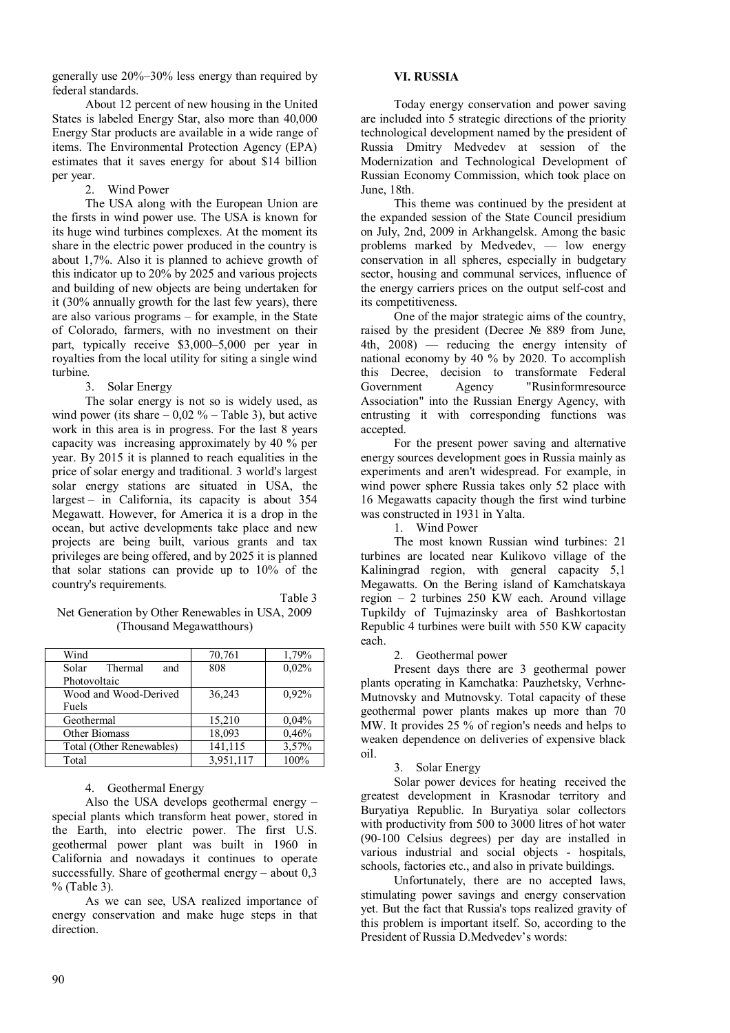generally use 20%–30% less energy than required by federal standards.

About 12 percent of new housing in the United States is labeled Energy Star, also more than 40,000 Energy Star products are available in a wide range of items. The Environmental Protection Agency (EPA) estimates that it saves energy for about \$14 billion per year.

2. Wind Power

The USA along with the European Union are the firsts in wind power use. The USA is known for its huge wind turbines complexes. At the moment its share in the electric power produced in the country is about 1,7%. Also it is planned to achieve growth of this indicator up to 20% by 2025 and various projects and building of new objects are being undertaken for it (30% annually growth for the last few years), there are also various programs – for example, in the State of Colorado, farmers, with no investment on their part, typically receive \$3,000–5,000 per year in royalties from the local utility for siting a single wind turbine.

3. Solar Energy

The solar energy is not so is widely used, as wind power (its share  $-0.02 \%$  – Table 3), but active work in this area is in progress. For the last 8 years capacity was increasing approximately by 40 % per year. By 2015 it is planned to reach equalities in the price of solar energy and traditional. 3 world's largest solar energy stations are situated in USA, the largest – in California, its capacity is about 354 Megawatt. However, for America it is a drop in the ocean, but active developments take place and new projects are being built, various grants and tax privileges are being offered, and by 2025 it is planned that solar stations can provide up to 10% of the country's requirements.

Table 3

#### Net Generation by Other Renewables in USA, 2009 (Thousand Megawatthours)

| Wind                     | 70,761    | 1,79% |
|--------------------------|-----------|-------|
| Solar<br>Thermal<br>and  | 808       | 0,02% |
| Photovoltaic             |           |       |
| Wood and Wood-Derived    | 36.243    | 0.92% |
| Fuels                    |           |       |
| Geothermal               | 15,210    | 0,04% |
| Other Biomass            | 18,093    | 0.46% |
| Total (Other Renewables) | 141,115   | 3,57% |
| Total                    | 3,951,117 | 100%  |

## 4. Geothermal Energy

Also the USA develops geothermal energy – special plants which transform heat power, stored in the Earth, into electric power. The first U.S. geothermal power plant was built in 1960 in California and nowadays it continues to operate successfully. Share of geothermal energy – about 0,3 % (Table 3).

As we can see, USA realized importance of energy conservation and make huge steps in that direction.

#### **VI. RUSSIA**

Today energy conservation and power saving are included into 5 strategic directions of the priority technological development named by the president of Russia Dmitry Medvedev at session of the Modernization and Technological Development of Russian Economy Commission, which took place on June, 18th.

This theme was continued by the president at the expanded session of the State Council presidium on July, 2nd, 2009 in Arkhangelsk. Among the basic problems marked by Medvedev, — low energy conservation in all spheres, especially in budgetary sector, housing and communal services, influence of the energy carriers prices on the output self-cost and its competitiveness.

One of the major strategic aims of the country, raised by the president (Decree № 889 from June, 4th, 2008) — reducing the energy intensity of national economy by 40 % by 2020. To accomplish this Decree, decision to transformate Federal Government Agency "Rusinformresource Association" into the Russian Energy Agency, with entrusting it with corresponding functions was accepted.

For the present power saving and alternative energy sources development goes in Russia mainly as experiments and aren't widespread. For example, in wind power sphere Russia takes only 52 place with 16 Megawatts capacity though the first wind turbine was constructed in 1931 in Yalta.

1. Wind Power

The most known Russian wind turbines: 21 turbines are located near Kulikovo village of the Kaliningrad region, with general capacity 5,1 Megawatts. On the Bering island of Kamchatskaya region – 2 turbines 250 KW each. Around village Tupkildy of Tujmazinsky area of Bashkortostan Republic 4 turbines were built with 550 KW capacity each.

2. Geothermal power

Present days there are 3 geothermal power plants operating in Kamchatka: Pauzhetsky, Verhne-Mutnovsky and Mutnovsky. Total capacity of these geothermal power plants makes up more than 70 MW. It provides 25 % of region's needs and helps to weaken dependence on deliveries of expensive black oil.

## 3. Solar Energy

Solar power devices for heating received the greatest development in Krasnodar territory and Buryatiya Republic. In Buryatiya solar collectors with productivity from 500 to 3000 litres of hot water (90-100 Celsius degrees) per day are installed in various industrial and social objects - hospitals, schools, factories etc., and also in private buildings.

Unfortunately, there are no accepted laws, stimulating power savings and energy conservation yet. But the fact that Russia's tops realized gravity of this problem is important itself. So, according to the President of Russia D.Medvedev's words: